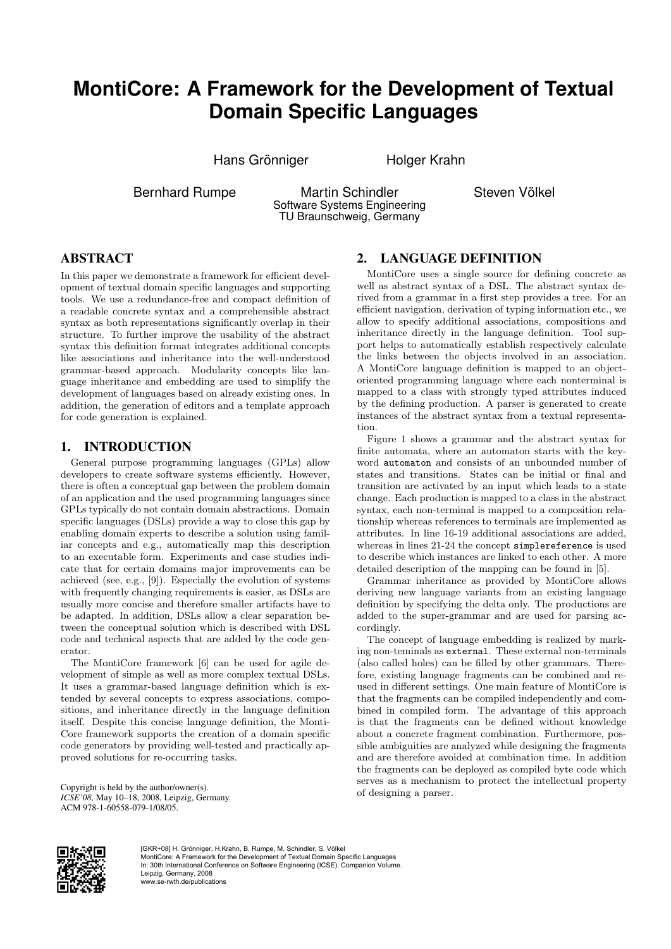# **MontiCore: A Framework for the Development of Textual Domain Specific Languages**

Hans Grönniger **Holger Krahn** 

Bernhard Rumpe Martin Schindler Software Systems Engineering TU Braunschweig, Germany

Steven Völkel

## ABSTRACT

In this paper we demonstrate a framework for efficient development of textual domain specific languages and supporting tools. We use a redundance-free and compact definition of a readable concrete syntax and a comprehensible abstract syntax as both representations significantly overlap in their structure. To further improve the usability of the abstract syntax this definition format integrates additional concepts like associations and inheritance into the well-understood grammar-based approach. Modularity concepts like language inheritance and embedding are used to simplify the development of languages based on already existing ones. In addition, the generation of editors and a template approach for code generation is explained.

#### 1. INTRODUCTION

General purpose programming languages (GPLs) allow developers to create software systems efficiently. However, there is often a conceptual gap between the problem domain of an application and the used programming languages since GPLs typically do not contain domain abstractions. Domain specific languages (DSLs) provide a way to close this gap by enabling domain experts to describe a solution using familiar concepts and e.g., automatically map this description to an executable form. Experiments and case studies indicate that for certain domains major improvements can be achieved (see, e.g., [9]). Especially the evolution of systems with frequently changing requirements is easier, as DSLs are usually more concise and therefore smaller artifacts have to be adapted. In addition, DSLs allow a clear separation between the conceptual solution which is described with DSL code and technical aspects that are added by the code generator.

The MontiCore framework [6] can be used for agile development of simple as well as more complex textual DSLs. It uses a grammar-based language definition which is extended by several concepts to express associations, compositions, and inheritance directly in the language definition itself. Despite this concise language definition, the Monti-Core framework supports the creation of a domain specific code generators by providing well-tested and practically approved solutions for re-occurring tasks.

Copyright is held by the author/owner(s). *ICSE'08,* May 10–18, 2008, Leipzig, Germany. ACM 978-1-60558-079-1/08/05.

## 2. LANGUAGE DEFINITION

MontiCore uses a single source for defining concrete as well as abstract syntax of a DSL. The abstract syntax derived from a grammar in a first step provides a tree. For an efficient navigation, derivation of typing information etc., we allow to specify additional associations, compositions and inheritance directly in the language definition. Tool support helps to automatically establish respectively calculate the links between the objects involved in an association. A MontiCore language definition is mapped to an objectoriented programming language where each nonterminal is mapped to a class with strongly typed attributes induced by the defining production. A parser is generated to create instances of the abstract syntax from a textual representation.

Figure 1 shows a grammar and the abstract syntax for finite automata, where an automaton starts with the keyword automaton and consists of an unbounded number of states and transitions. States can be initial or final and transition are activated by an input which leads to a state change. Each production is mapped to a class in the abstract syntax, each non-terminal is mapped to a composition relationship whereas references to terminals are implemented as attributes. In line 16-19 additional associations are added, whereas in lines 21-24 the concept simplereference is used to describe which instances are linked to each other. A more detailed description of the mapping can be found in [5].

Grammar inheritance as provided by MontiCore allows deriving new language variants from an existing language definition by specifying the delta only. The productions are added to the super-grammar and are used for parsing accordingly.

The concept of language embedding is realized by marking non-teminals as external. These external non-terminals (also called holes) can be filled by other grammars. Therefore, existing language fragments can be combined and reused in different settings. One main feature of MontiCore is that the fragments can be compiled independently and combined in compiled form. The advantage of this approach is that the fragments can be defined without knowledge about a concrete fragment combination. Furthermore, possible ambiguities are analyzed while designing the fragments and are therefore avoided at combination time. In addition the fragments can be deployed as compiled byte code which serves as a mechanism to protect the intellectual property of designing a parser.



[GKR+08] H. Grönniger, H.Krahn, B. Rumpe, M. Schindler, S. Völkel MontiCore: A Framework for the Development of Textual Domain Specific Languages In: 30th International Conference on Software Engineering (ICSE). Companion Volume Leipzig, Germany, 2008 www.se-rwth.de/publications